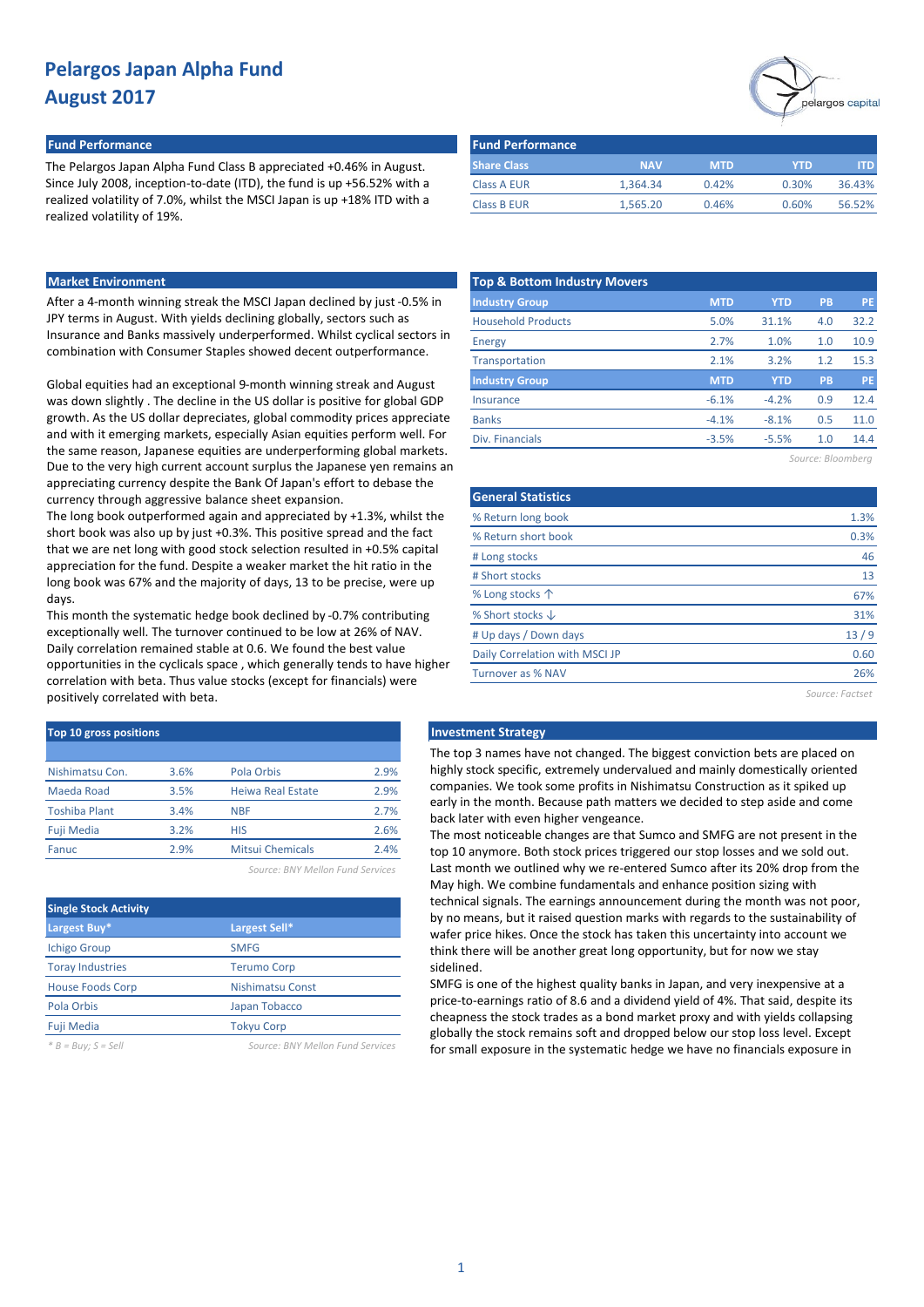### **Fund Performance Fund Performance**

The Pelargos Japan Alpha Fund Class B appreciated +0.46% in August. Since July 2008, inception-to-date (ITD), the fund is up +56.52% with a realized volatility of 7.0%, whilst the MSCI Japan is up +18% ITD with a realized volatility of 19%.

#### **Market Environment**

After a 4-month winning streak the MSCI Japan declined by just -0.5% in JPY terms in August. With yields declining globally, sectors such as Insurance and Banks massively underperformed. Whilst cyclical sectors in combination with Consumer Staples showed decent outperformance.

Global equities had an exceptional 9-month winning streak and August was down slightly . The decline in the US dollar is positive for global GDP growth. As the US dollar depreciates, global commodity prices appreciate and with it emerging markets, especially Asian equities perform well. For the same reason, Japanese equities are underperforming global markets. Due to the very high current account surplus the Japanese yen remains an appreciating currency despite the Bank Of Japan's effort to debase the currency through aggressive balance sheet expansion.

The long book outperformed again and appreciated by +1.3%, whilst the short book was also up by just +0.3%. This positive spread and the fact that we are net long with good stock selection resulted in +0.5% capital appreciation for the fund. Despite a weaker market the hit ratio in the long book was 67% and the majority of days, 13 to be precise, were up days.

This month the systematic hedge book declined by -0.7% contributing exceptionally well. The turnover continued to be low at 26% of NAV. Daily correlation remained stable at 0.6. We found the best value opportunities in the cyclicals space , which generally tends to have higher correlation with beta. Thus value stocks (except for financials) were positively correlated with beta.

| Top 10 gross positions |      |                          |      |
|------------------------|------|--------------------------|------|
|                        |      |                          |      |
| Nishimatsu Con.        | 3.6% | Pola Orbis               | 2.9% |
| Maeda Road             | 3.5% | <b>Heiwa Real Estate</b> | 2.9% |
| <b>Toshiba Plant</b>   | 3.4% | <b>NBF</b>               | 2.7% |
| Fuji Media             | 3.2% | <b>HIS</b>               | 2.6% |
| Fanuc                  | 2.9% | <b>Mitsui Chemicals</b>  | 2.4% |
|                        |      |                          |      |

*Source: BNY Mellon Fund Services*

| <b>Single Stock Activity</b> |                                  |
|------------------------------|----------------------------------|
| Largest Buy*                 | Largest Sell*                    |
| <b>Ichigo Group</b>          | <b>SMFG</b>                      |
| <b>Toray Industries</b>      | <b>Terumo Corp</b>               |
| <b>House Foods Corp</b>      | <b>Nishimatsu Const</b>          |
| Pola Orbis                   | Japan Tobacco                    |
| <b>Fuji Media</b>            | <b>Tokyu Corp</b>                |
| $B = Buv$ : $S = Sell$       | Source: BNY Mellon Fund Services |



| <b>Fund Performance</b> |            |            |            |        |
|-------------------------|------------|------------|------------|--------|
| <b>Share Class</b>      | <b>NAV</b> | <b>MTD</b> | <b>YTD</b> | ITD.   |
| <b>Class A EUR</b>      | 1.364.34   | 0.42%      | 0.30%      | 36.43% |
| <b>Class B EUR</b>      | 1.565.20   | 0.46%      | 0.60%      | 56.52% |

| <b>Top &amp; Bottom Industry Movers</b> |            |            |           |           |
|-----------------------------------------|------------|------------|-----------|-----------|
| <b>Industry Group</b>                   | <b>MTD</b> | <b>YTD</b> | <b>PB</b> | <b>PE</b> |
| <b>Household Products</b>               | 5.0%       | 31.1%      | 4.0       | 32.2      |
| <b>Energy</b>                           | 2.7%       | 1.0%       | 1.0       | 10.9      |
| Transportation                          | 2.1%       | 3.2%       | 1.2       | 15.3      |
| <b>Industry Group</b>                   | <b>MTD</b> | <b>YTD</b> | PB        | <b>PE</b> |
| <b>Insurance</b>                        | $-6.1%$    | $-4.2%$    | 0.9       | 12.4      |
| <b>Banks</b>                            | $-4.1%$    | $-8.1%$    | 0.5       | 11.0      |
| Div. Financials                         | $-3.5%$    | $-5.5%$    | 1.0       | 14.4      |
|                                         |            |            |           |           |

*Source: Bloomberg*

| <b>General Statistics</b>      |      |
|--------------------------------|------|
| % Return long book             | 1.3% |
| % Return short book            | 0.3% |
| # Long stocks                  | 46   |
| # Short stocks                 | 13   |
| % Long stocks 个                | 67%  |
| % Short stocks $\downarrow$    | 31%  |
| # Up days / Down days          | 13/9 |
| Daily Correlation with MSCI JP | 0.60 |
| <b>Turnover as % NAV</b>       | 26%  |
|                                |      |

*Source: Factset*

#### **Top 10 gross positions Investment Strategy**

The top 3 names have not changed. The biggest conviction bets are placed on highly stock specific, extremely undervalued and mainly domestically oriented companies. We took some profits in Nishimatsu Construction as it spiked up early in the month. Because path matters we decided to step aside and come back later with even higher vengeance.

The most noticeable changes are that Sumco and SMFG are not present in the top 10 anymore. Both stock prices triggered our stop losses and we sold out. Last month we outlined why we re-entered Sumco after its 20% drop from the May high. We combine fundamentals and enhance position sizing with technical signals. The earnings announcement during the month was not poor, by no means, but it raised question marks with regards to the sustainability of wafer price hikes. Once the stock has taken this uncertainty into account we think there will be another great long opportunity, but for now we stay sidelined.

SMFG is one of the highest quality banks in Japan, and very inexpensive at a price-to-earnings ratio of 8.6 and a dividend yield of 4%. That said, despite its cheapness the stock trades as a bond market proxy and with yields collapsing globally the stock remains soft and dropped below our stop loss level. Except for small exposure in the systematic hedge we have no financials exposure in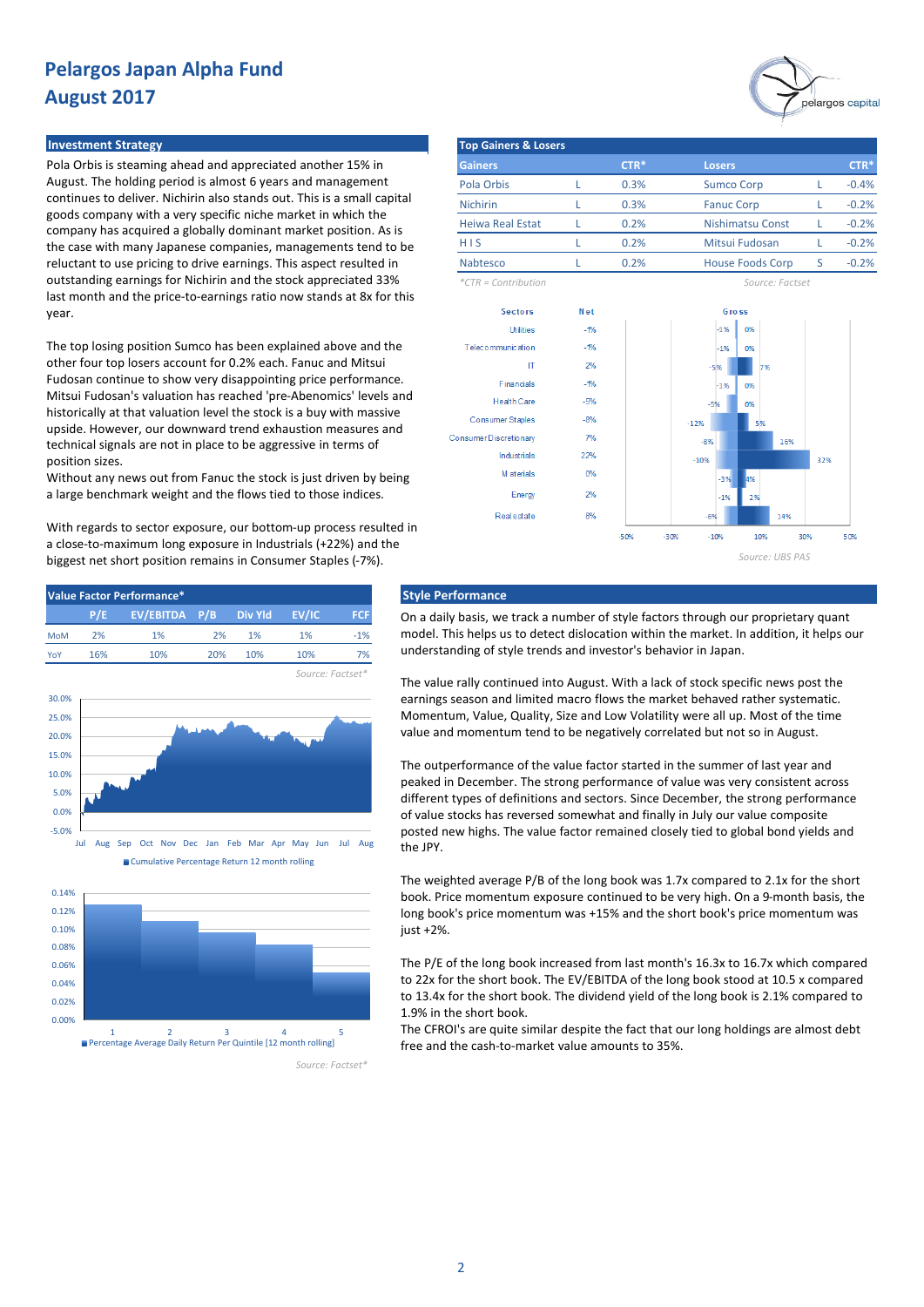### **Investment Strategy**

Pola Orbis is steaming ahead and appreciated another 15% in August. The holding period is almost 6 years and management continues to deliver. Nichirin also stands out. This is a small capital goods company with a very specific niche market in which the company has acquired a globally dominant market position. As is the case with many Japanese companies, managements tend to be reluctant to use pricing to drive earnings. This aspect resulted in outstanding earnings for Nichirin and the stock appreciated 33% last month and the price-to-earnings ratio now stands at 8x for this year.

The top losing position Sumco has been explained above and the other four top losers account for 0.2% each. Fanuc and Mitsui Fudosan continue to show very disappointing price performance. Mitsui Fudosan's valuation has reached 'pre-Abenomics' levels and historically at that valuation level the stock is a buy with massive upside. However, our downward trend exhaustion measures and technical signals are not in place to be aggressive in terms of position sizes.

Without any news out from Fanuc the stock is just driven by being a large benchmark weight and the flows tied to those indices.

With regards to sector exposure, our bottom-up process resulted in a close-to-maximum long exposure in Industrials (+22%) and the biggest net short position remains in Consumer Staples (-7%).





*Source: Factset\**

| <b>Top Gainers &amp; Losers</b> |        |                         |   |         |
|---------------------------------|--------|-------------------------|---|---------|
| <b>Gainers</b>                  | $CTR*$ | <b>Losers</b>           |   | $CTR*$  |
| Pola Orbis                      | 0.3%   | <b>Sumco Corp</b>       |   | $-0.4%$ |
| <b>Nichirin</b>                 | 0.3%   | <b>Fanuc Corp</b>       |   | $-0.2%$ |
| <b>Heiwa Real Estat</b>         | 0.2%   | <b>Nishimatsu Const</b> |   | $-0.2%$ |
| <b>HIS</b>                      | 0.2%   | Mitsui Fudosan          |   | $-0.2%$ |
| Nabtesco                        | 0.2%   | <b>House Foods Corp</b> | S | $-0.2%$ |
| $*CTR = Contribution$           |        | Source: Factset         |   |         |

pelargos capital



On a daily basis, we track a number of style factors through our proprietary quant model. This helps us to detect dislocation within the market. In addition, it helps our understanding of style trends and investor's behavior in Japan.

The value rally continued into August. With a lack of stock specific news post the earnings season and limited macro flows the market behaved rather systematic. Momentum, Value, Quality, Size and Low Volatility were all up. Most of the time value and momentum tend to be negatively correlated but not so in August.

The outperformance of the value factor started in the summer of last year and peaked in December. The strong performance of value was very consistent across different types of definitions and sectors. Since December, the strong performance of value stocks has reversed somewhat and finally in July our value composite posted new highs. The value factor remained closely tied to global bond yields and the JPY.

The weighted average P/B of the long book was 1.7x compared to 2.1x for the short book. Price momentum exposure continued to be very high. On a 9-month basis, the long book's price momentum was +15% and the short book's price momentum was  $i$ ust  $+2%$ .

The P/E of the long book increased from last month's 16.3x to 16.7x which compared to 22x for the short book. The EV/EBITDA of the long book stood at 10.5 x compared to 13.4x for the short book. The dividend yield of the long book is 2.1% compared to 1.9% in the short book.

The CFROI's are quite similar despite the fact that our long holdings are almost debt free and the cash-to-market value amounts to 35%.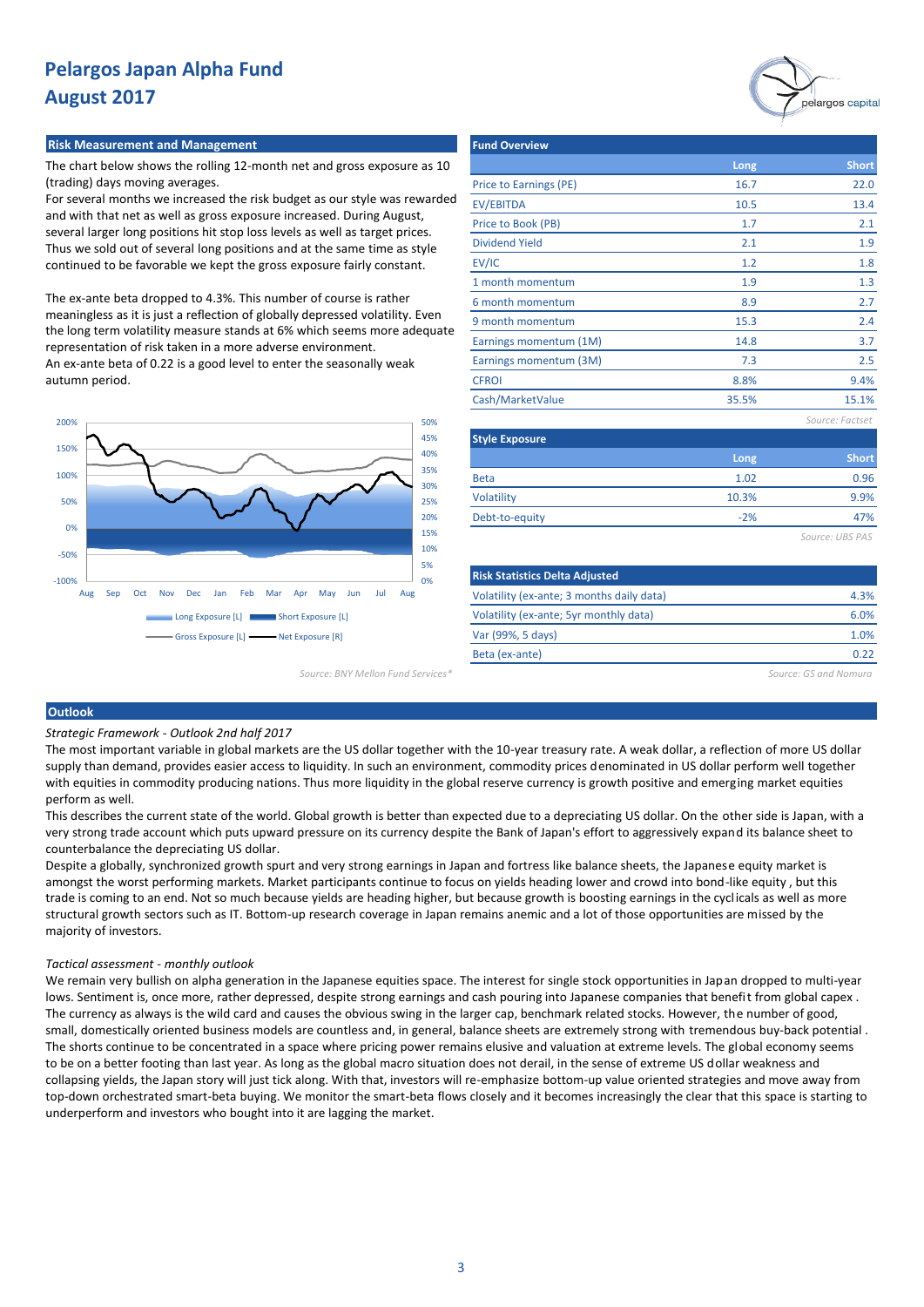#### **Risk Measurement and Management**

The chart below shows the rolling 12-month net and gross exposure as 10 (trading) days moving averages.

For several months we increased the risk budget as our style was rewarded and with that net as well as gross exposure increased. During August, several larger long positions hit stop loss levels as well as target prices. Thus we sold out of several long positions and at the same time as style continued to be favorable we kept the gross exposure fairly constant.

The ex-ante beta dropped to 4.3%. This number of course is rather meaningless as it is just a reflection of globally depressed volatility. Even the long term volatility measure stands at 6% which seems more adequate representation of risk taken in a more adverse environment. An ex-ante beta of 0.22 is a good level to enter the seasonally weak autumn period.



*Source: BNY Mellon Fund Services\* Source: GS and Nomura*

| <b>Fund Overview</b>   |       |                 |
|------------------------|-------|-----------------|
|                        | Long  | <b>Short</b>    |
| Price to Earnings (PE) | 16.7  | 22.0            |
| <b>EV/EBITDA</b>       | 10.5  | 13.4            |
| Price to Book (PB)     | 1.7   | 2.1             |
| <b>Dividend Yield</b>  | 2.1   | 1.9             |
| EV/IC                  | 1.2   | 1.8             |
| 1 month momentum       | 1.9   | 1.3             |
| 6 month momentum       | 8.9   | 2.7             |
| 9 month momentum       | 15.3  | 2.4             |
| Earnings momentum (1M) | 14.8  | 3.7             |
| Earnings momentum (3M) | 7.3   | 2.5             |
| <b>CFROI</b>           | 8.8%  | 9.4%            |
| Cash/MarketValue       | 35.5% | 15.1%           |
|                        |       | Source: Factset |
| <b>Style Exposure</b>  |       |                 |
|                        | Long  | <b>Short</b>    |
| <b>Beta</b>            | 1.02  | 0.96            |
| Volatility             | 10.3% | 9.9%            |
| Debt-to-equity         | $-2%$ | 47%             |
|                        |       | Source: UBS PAS |
|                        |       |                 |

| <b>Risk Statistics Delta Adjusted</b>     |      |
|-------------------------------------------|------|
| Volatility (ex-ante; 3 months daily data) | 4.3% |
| Volatility (ex-ante; 5yr monthly data)    | 6.0% |
| Var (99%, 5 days)                         | 1.0% |
| Beta (ex-ante)                            |      |

#### **Outlook**

*Strategic Framework - Outlook 2nd half 2017*

The most important variable in global markets are the US dollar together with the 10-year treasury rate. A weak dollar, a reflection of more US dollar supply than demand, provides easier access to liquidity. In such an environment, commodity prices denominated in US dollar perform well together with equities in commodity producing nations. Thus more liquidity in the global reserve currency is growth positive and emerging market equities perform as well.

This describes the current state of the world. Global growth is better than expected due to a depreciating US dollar. On the other side is Japan, with a very strong trade account which puts upward pressure on its currency despite the Bank of Japan's effort to aggressively expand its balance sheet to counterbalance the depreciating US dollar.

Despite a globally, synchronized growth spurt and very strong earnings in Japan and fortress like balance sheets, the Japanese equity market is amongst the worst performing markets. Market participants continue to focus on yields heading lower and crowd into bond-like equity , but this trade is coming to an end. Not so much because yields are heading higher, but because growth is boosting earnings in the cyclicals as well as more structural growth sectors such as IT. Bottom-up research coverage in Japan remains anemic and a lot of those opportunities are missed by the majority of investors.

#### *Tactical assessment - monthly outlook*

We remain very bullish on alpha generation in the Japanese equities space. The interest for single stock opportunities in Japan dropped to multi-year lows. Sentiment is, once more, rather depressed, despite strong earnings and cash pouring into Japanese companies that benefit from global capex . The currency as always is the wild card and causes the obvious swing in the larger cap, benchmark related stocks. However, the number of good, small, domestically oriented business models are countless and, in general, balance sheets are extremely strong with tremendous buy-back potential . The shorts continue to be concentrated in a space where pricing power remains elusive and valuation at extreme levels. The global economy seems to be on a better footing than last year. As long as the global macro situation does not derail, in the sense of extreme US dollar weakness and collapsing yields, the Japan story will just tick along. With that, investors will re-emphasize bottom-up value oriented strategies and move away from top-down orchestrated smart-beta buying. We monitor the smart-beta flows closely and it becomes increasingly the clear that this space is starting to underperform and investors who bought into it are lagging the market.

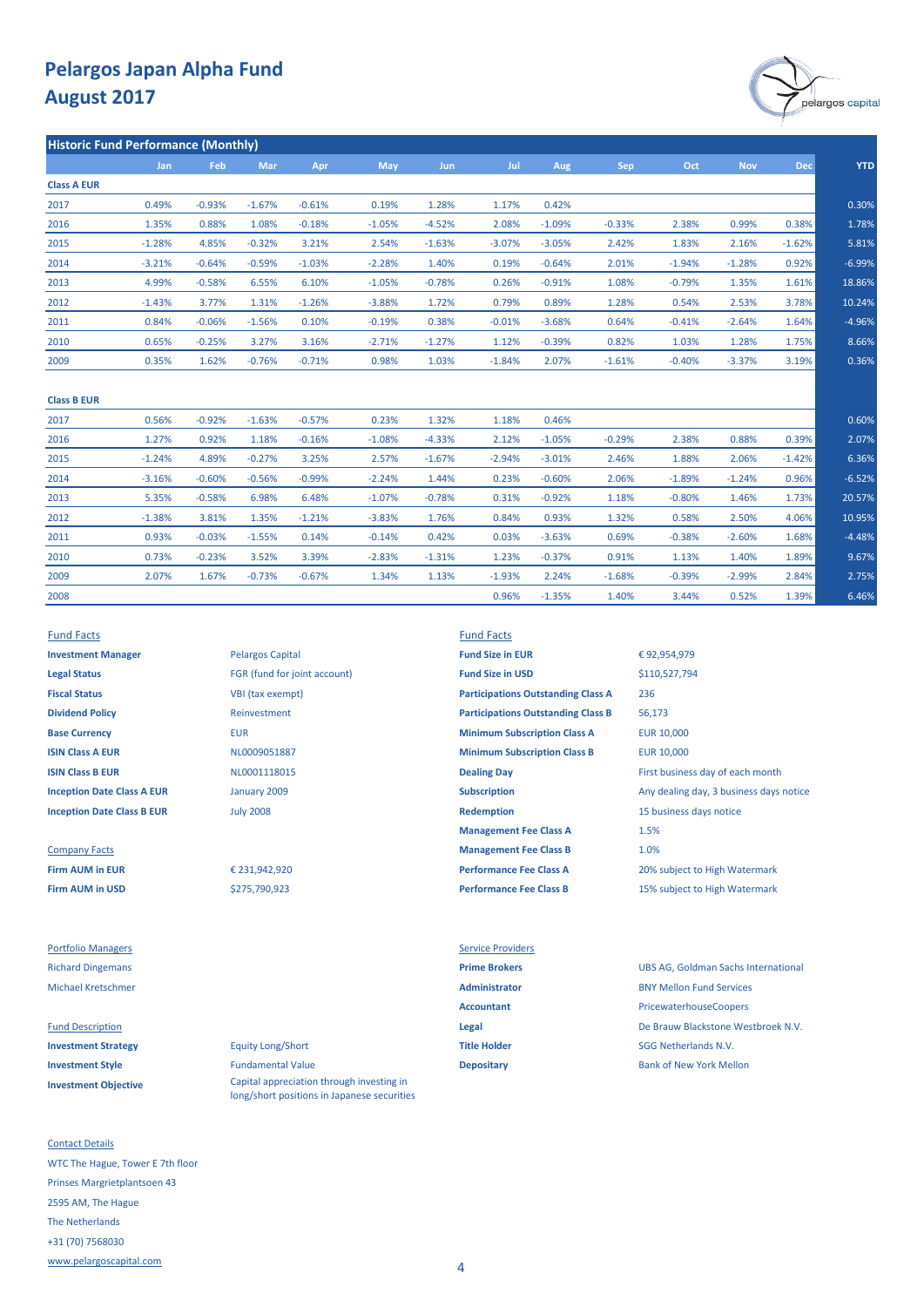

|                    | <b>Historic Fund Performance (Monthly)</b> |          |          |          |          |            |          |          |            |          |            |            |            |
|--------------------|--------------------------------------------|----------|----------|----------|----------|------------|----------|----------|------------|----------|------------|------------|------------|
|                    | Jan                                        | Feb      | Mar      | Apr      | May      | <b>Jun</b> | Jul      | Aug      | <b>Sep</b> | Oct      | <b>Nov</b> | <b>Dec</b> | <b>YTD</b> |
| <b>Class A EUR</b> |                                            |          |          |          |          |            |          |          |            |          |            |            |            |
| 2017               | 0.49%                                      | $-0.93%$ | $-1.67%$ | $-0.61%$ | 0.19%    | 1.28%      | 1.17%    | 0.42%    |            |          |            |            | 0.30%      |
| 2016               | 1.35%                                      | 0.88%    | 1.08%    | $-0.18%$ | $-1.05%$ | $-4.52%$   | 2.08%    | $-1.09%$ | $-0.33%$   | 2.38%    | 0.99%      | 0.38%      | 1.78%      |
| 2015               | $-1.28%$                                   | 4.85%    | $-0.32%$ | 3.21%    | 2.54%    | $-1.63%$   | $-3.07%$ | $-3.05%$ | 2.42%      | 1.83%    | 2.16%      | $-1.62%$   | 5.81%      |
| 2014               | $-3.21%$                                   | $-0.64%$ | $-0.59%$ | $-1.03%$ | $-2.28%$ | 1.40%      | 0.19%    | $-0.64%$ | 2.01%      | $-1.94%$ | $-1.28%$   | 0.92%      | $-6.99%$   |
| 2013               | 4.99%                                      | $-0.58%$ | 6.55%    | 6.10%    | $-1.05%$ | $-0.78%$   | 0.26%    | $-0.91%$ | 1.08%      | $-0.79%$ | 1.35%      | 1.61%      | 18.86%     |
| 2012               | $-1.43%$                                   | 3.77%    | 1.31%    | $-1.26%$ | $-3.88%$ | 1.72%      | 0.79%    | 0.89%    | 1.28%      | 0.54%    | 2.53%      | 3.78%      | 10.24%     |
| 2011               | 0.84%                                      | $-0.06%$ | $-1.56%$ | 0.10%    | $-0.19%$ | 0.38%      | $-0.01%$ | $-3.68%$ | 0.64%      | $-0.41%$ | $-2.64%$   | 1.64%      | $-4.96%$   |
| 2010               | 0.65%                                      | $-0.25%$ | 3.27%    | 3.16%    | $-2.71%$ | $-1.27%$   | 1.12%    | $-0.39%$ | 0.82%      | 1.03%    | 1.28%      | 1.75%      | 8.66%      |
| 2009               | 0.35%                                      | 1.62%    | $-0.76%$ | $-0.71%$ | 0.98%    | 1.03%      | $-1.84%$ | 2.07%    | $-1.61%$   | $-0.40%$ | $-3.37%$   | 3.19%      | 0.36%      |
|                    |                                            |          |          |          |          |            |          |          |            |          |            |            |            |

| <b>Class B EUR</b> |          |          |          |          |          |          |          |          |          |          |          |          |          |
|--------------------|----------|----------|----------|----------|----------|----------|----------|----------|----------|----------|----------|----------|----------|
| 2017               | 0.56%    | $-0.92%$ | $-1.63%$ | $-0.57%$ | 0.23%    | 1.32%    | 1.18%    | 0.46%    |          |          |          |          | 0.60%    |
| 2016               | 1.27%    | 0.92%    | 1.18%    | $-0.16%$ | $-1.08%$ | $-4.33%$ | 2.12%    | $-1.05%$ | $-0.29%$ | 2.38%    | 0.88%    | 0.39%    | 2.07%    |
| 2015               | $-1.24%$ | 4.89%    | $-0.27%$ | 3.25%    | 2.57%    | $-1.67%$ | $-2.94%$ | $-3.01%$ | 2.46%    | 1.88%    | 2.06%    | $-1.42%$ | 6.36%    |
| 2014               | $-3.16%$ | $-0.60%$ | $-0.56%$ | $-0.99%$ | $-2.24%$ | 1.44%    | 0.23%    | $-0.60%$ | 2.06%    | $-1.89%$ | $-1.24%$ | 0.96%    | $-6.52%$ |
| 2013               | 5.35%    | $-0.58%$ | 6.98%    | 6.48%    | $-1.07%$ | $-0.78%$ | 0.31%    | $-0.92%$ | 1.18%    | $-0.80%$ | 1.46%    | 1.73%    | 20.57%   |
| 2012               | $-1.38%$ | 3.81%    | 1.35%    | $-1.21%$ | $-3.83%$ | 1.76%    | 0.84%    | 0.93%    | 1.32%    | 0.58%    | 2.50%    | 4.06%    | 10.95%   |
| 2011               | 0.93%    | $-0.03%$ | $-1.55%$ | 0.14%    | $-0.14%$ | 0.42%    | 0.03%    | $-3.63%$ | 0.69%    | $-0.38%$ | $-2.60%$ | 1.68%    | $-4.48%$ |
| 2010               | 0.73%    | $-0.23%$ | 3.52%    | 3.39%    | $-2.83%$ | $-1.31%$ | 1.23%    | $-0.37%$ | 0.91%    | 1.13%    | 1.40%    | 1.89%    | 9.67%    |
| 2009               | 2.07%    | 1.67%    | $-0.73%$ | $-0.67%$ | 1.34%    | 1.13%    | $-1.93%$ | 2.24%    | $-1.68%$ | $-0.39%$ | $-2.99%$ | 2.84%    | 2.75%    |
| 2008               |          |          |          |          |          |          | 0.96%    | $-1.35%$ | 1.40%    | 3.44%    | 0.52%    | 1.39%    | 6.46%    |

**Legal Status** FGR (fund for joint account) **Fund Size in USD Fiscal Status** VBI (tax exempt) **Dividend Policy** Reinvestment

**Firm AUM in USD Performance Fee Class B** 15% subject to High Watermark

**Investment Objective**

Contact Details WTC The Hague, Tower E 7th floor Prinses Margrietplantsoen 43 2595 AM, The Hague The Netherlands +31 (70) 7568030 [www.pelargoscapital.com](http://www.pelargoscapital.com/)

**Investment Manager Pelargos Capital <b>Fund Size in EUR** July 2008 January 2009

> € 231,942,920 \$275,790,923

**Investment Strategy Equity Long/Short Title Holder Title Holder** SGG Netherlands N.V. **Investment Style Depositary Depositary** Bank of New York Mellon Bank of New York Mellon Capital appreciation through investing in long/short positions in Japanese securities

Fund Facts Fund Facts

**Base Currency <b>EUR** EUR **EUR EUR Minimum Subscription Class A** EUR 10,000 **ISIN Class A EUR EUR EUR 10,000 MINIMUM MINIMUM MINIMUM MINIMUM Class B EUR** 10,000 **ISIN Class B EUR ISIN Class B EUR CLASS ARE ISIN CLASS CONTAINED A CONTAINING DAY Dealing Day First business day of each month Inception Date Class A EUR Subscription Subscription** Any dealing day, 3 business days notice **Inception Date Class B EUR In the Class B EUR Inception** 15 business days notice **Management Fee Class A** Company Facts **Management Fee Class B Firm AUM in EUR Performance Fee Class A** 20% subject to High Watermark **Participations Outstanding Class A Participations Outstanding Class B**

# € 92,954,979 236 56,173 \$110,527,794 1.5% 1.0%

Portfolio Managers **Service Providers** Service Providers

Richard Dingemans **Prime Brokers** UBS AG, Goldman Sachs International Michael Kretschmer **Administrator** BNY Mellon Fund Services Accountant **Accountant** PricewaterhouseCoopers Fund Description **Legal** De Brauw Blackstone Westbroek N.V.